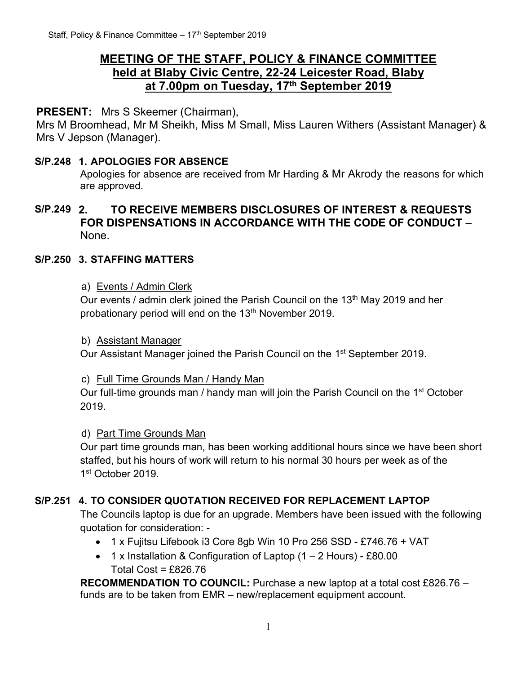# **MEETING OF THE STAFF, POLICY & FINANCE COMMITTEE held at Blaby Civic Centre, 22-24 Leicester Road, Blaby at 7.00pm on Tuesday, 17 th September 2019**

## **PRESENT:** Mrs S Skeemer (Chairman),

Mrs M Broomhead, Mr M Sheikh, Miss M Small, Miss Lauren Withers (Assistant Manager) & Mrs V Jepson (Manager).

#### **S/P.248 1. APOLOGIES FOR ABSENCE**

Apologies for absence are received from Mr Harding & Mr Akrody the reasons for which are approved.

## **S/P.249 2. TO RECEIVE MEMBERS DISCLOSURES OF INTEREST & REQUESTS FOR DISPENSATIONS IN ACCORDANCE WITH THE CODE OF CONDUCT** – None.

## **S/P.250 3. STAFFING MATTERS**

#### a) Events / Admin Clerk

Our events / admin clerk joined the Parish Council on the 13<sup>th</sup> May 2019 and her probationary period will end on the 13<sup>th</sup> November 2019.

#### b) Assistant Manager

Our Assistant Manager joined the Parish Council on the 1<sup>st</sup> September 2019.

#### c) Full Time Grounds Man / Handy Man

Our full-time grounds man / handy man will join the Parish Council on the 1<sup>st</sup> October 2019.

#### d) Part Time Grounds Man

Our part time grounds man, has been working additional hours since we have been short staffed, but his hours of work will return to his normal 30 hours per week as of the 1 st October 2019.

## **S/P.251 4. TO CONSIDER QUOTATION RECEIVED FOR REPLACEMENT LAPTOP**

The Councils laptop is due for an upgrade. Members have been issued with the following quotation for consideration: -

- 1 x Fujitsu Lifebook i3 Core 8gb Win 10 Pro 256 SSD £746.76 + VAT
- 1 x Installation & Configuration of Laptop (1 2 Hours) £80.00 Total Cost = £826.76

**RECOMMENDATION TO COUNCIL:** Purchase a new laptop at a total cost £826.76 – funds are to be taken from EMR – new/replacement equipment account.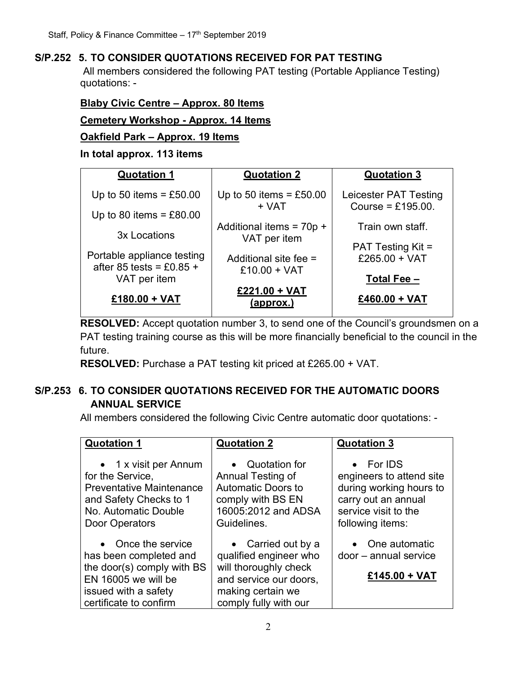## **S/P.252 5. TO CONSIDER QUOTATIONS RECEIVED FOR PAT TESTING**

All members considered the following PAT testing (Portable Appliance Testing) quotations: -

## **Blaby Civic Centre – Approx. 80 Items**

**Cemetery Workshop - Approx. 14 Items**

#### **Oakfield Park – Approx. 19 Items**

#### **In total approx. 113 items**

|                            | <b>Quotation 3</b>                                                                          |
|----------------------------|---------------------------------------------------------------------------------------------|
| Up to 50 items = $£50.00$  | Leicester PAT Testing<br>Course = £195.00.                                                  |
|                            |                                                                                             |
|                            | Train own staff.                                                                            |
|                            |                                                                                             |
|                            | <b>PAT Testing Kit =</b>                                                                    |
| Additional site fee =      | £265.00 + VAT                                                                               |
|                            |                                                                                             |
|                            | Total Fee -                                                                                 |
| £221.00 + VAT<br>(approx.) | £460.00 + VAT                                                                               |
|                            | <b>Quotation 2</b><br>+ VAT<br>Additional items = $70p +$<br>VAT per item<br>$£10.00 + VAT$ |

**RESOLVED:** Accept quotation number 3, to send one of the Council's groundsmen on a PAT testing training course as this will be more financially beneficial to the council in the future.

**RESOLVED:** Purchase a PAT testing kit priced at £265.00 + VAT.

# **S/P.253 6. TO CONSIDER QUOTATIONS RECEIVED FOR THE AUTOMATIC DOORS ANNUAL SERVICE**

All members considered the following Civic Centre automatic door quotations: -

| <b>Quotation 1</b>                                                                                                                                  | <b>Quotation 2</b>                                                                                                                            | <b>Quotation 3</b>                                                                                                                  |
|-----------------------------------------------------------------------------------------------------------------------------------------------------|-----------------------------------------------------------------------------------------------------------------------------------------------|-------------------------------------------------------------------------------------------------------------------------------------|
| • 1 x visit per Annum<br>for the Service,<br><b>Preventative Maintenance</b><br>and Safety Checks to 1<br>No. Automatic Double<br>Door Operators    | • Quotation for<br>Annual Testing of<br><b>Automatic Doors to</b><br>comply with BS EN<br>16005:2012 and ADSA<br>Guidelines.                  | • For IDS<br>engineers to attend site<br>during working hours to<br>carry out an annual<br>service visit to the<br>following items: |
| • Once the service<br>has been completed and<br>the door(s) comply with BS<br>EN 16005 we will be<br>issued with a safety<br>certificate to confirm | • Carried out by a<br>qualified engineer who<br>will thoroughly check<br>and service our doors,<br>making certain we<br>comply fully with our | • One automatic<br>door – annual service<br>£145.00 + VAT                                                                           |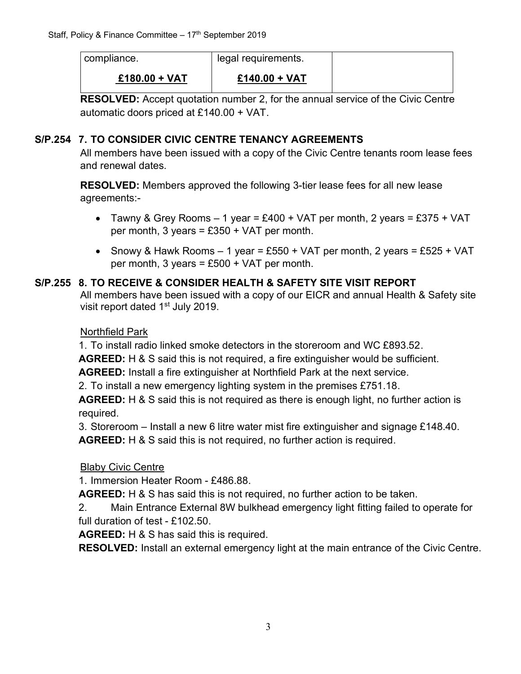| compliance.     | legal requirements. |  |
|-----------------|---------------------|--|
| $£180.00 + VAT$ | $£140.00 + VAT$     |  |

**RESOLVED:** Accept quotation number 2, for the annual service of the Civic Centre automatic doors priced at £140.00 + VAT.

## **S/P.254 7. TO CONSIDER CIVIC CENTRE TENANCY AGREEMENTS**

All members have been issued with a copy of the Civic Centre tenants room lease fees and renewal dates.

**RESOLVED:** Members approved the following 3-tier lease fees for all new lease agreements:-

- Tawny & Grey Rooms  $-1$  year = £400 + VAT per month, 2 years = £375 + VAT per month, 3 years =  $£350 + VAT$  per month.
- Snowy & Hawk Rooms  $-1$  year = £550 + VAT per month, 2 years = £525 + VAT per month, 3 years =  $£500 + VAT$  per month.

## **S/P.255 8. TO RECEIVE & CONSIDER HEALTH & SAFETY SITE VISIT REPORT**

All members have been issued with a copy of our EICR and annual Health & Safety site visit report dated 1<sup>st</sup> July 2019.

## Northfield Park

1. To install radio linked smoke detectors in the storeroom and WC £893.52.

**AGREED:** H & S said this is not required, a fire extinguisher would be sufficient.

**AGREED:** Install a fire extinguisher at Northfield Park at the next service.

2. To install a new emergency lighting system in the premises £751.18.

**AGREED:** H & S said this is not required as there is enough light, no further action is required.

3. Storeroom – Install a new 6 litre water mist fire extinguisher and signage £148.40.

**AGREED:** H & S said this is not required, no further action is required.

## Blaby Civic Centre

1. Immersion Heater Room - £486.88.

**AGREED:** H & S has said this is not required, no further action to be taken.

2. Main Entrance External 8W bulkhead emergency light fitting failed to operate for full duration of test - £102.50.

**AGREED:** H & S has said this is required.

**RESOLVED:** Install an external emergency light at the main entrance of the Civic Centre.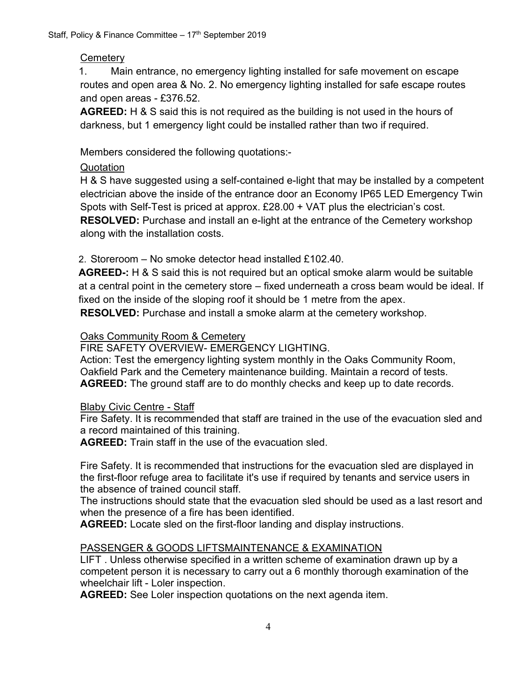## **Cemetery**

1. Main entrance, no emergency lighting installed for safe movement on escape routes and open area & No. 2. No emergency lighting installed for safe escape routes and open areas - £376.52.

**AGREED:** H & S said this is not required as the building is not used in the hours of darkness, but 1 emergency light could be installed rather than two if required.

Members considered the following quotations:-

## Quotation

H & S have suggested using a self-contained e-light that may be installed by a competent electrician above the inside of the entrance door an Economy IP65 LED Emergency Twin Spots with Self-Test is priced at approx. £28.00 + VAT plus the electrician's cost. **RESOLVED:** Purchase and install an e-light at the entrance of the Cemetery workshop along with the installation costs.

2. Storeroom – No smoke detector head installed £102.40

**AGREED-:** H & S said this is not required but an optical smoke alarm would be suitable at a central point in the cemetery store – fixed underneath a cross beam would be ideal. If fixed on the inside of the sloping roof it should be 1 metre from the apex. **RESOLVED:** Purchase and install a smoke alarm at the cemetery workshop.

Oaks Community Room & Cemetery

FIRE SAFETY OVERVIEW- EMERGENCY LIGHTING.

Action: Test the emergency lighting system monthly in the Oaks Community Room, Oakfield Park and the Cemetery maintenance building. Maintain a record of tests. **AGREED:** The ground staff are to do monthly checks and keep up to date records.

## Blaby Civic Centre - Staff

Fire Safety. It is recommended that staff are trained in the use of the evacuation sled and a record maintained of this training.

**AGREED:** Train staff in the use of the evacuation sled.

Fire Safety. It is recommended that instructions for the evacuation sled are displayed in the first-floor refuge area to facilitate it's use if required by tenants and service users in the absence of trained council staff.

The instructions should state that the evacuation sled should be used as a last resort and when the presence of a fire has been identified.

**AGREED:** Locate sled on the first-floor landing and display instructions.

## PASSENGER & GOODS LIFTSMAINTENANCE & EXAMINATION

LIFT . Unless otherwise specified in a written scheme of examination drawn up by a competent person it is necessary to carry out a 6 monthly thorough examination of the wheelchair lift - Loler inspection.

**AGREED:** See Loler inspection quotations on the next agenda item.